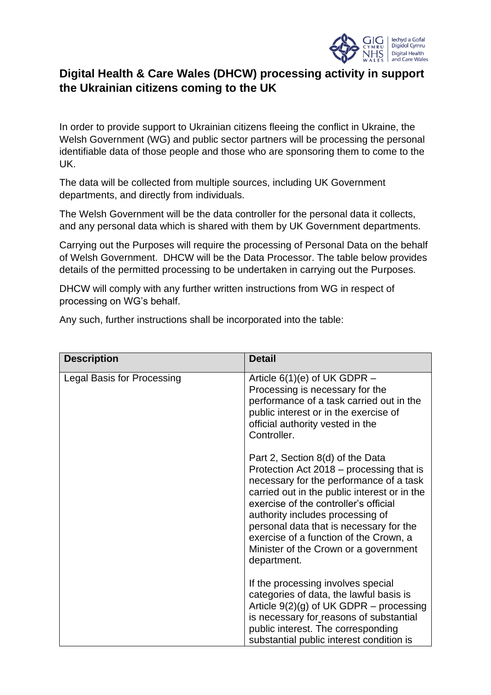

## **Digital Health & Care Wales (DHCW) processing activity in support the Ukrainian citizens coming to the UK**

In order to provide support to Ukrainian citizens fleeing the conflict in Ukraine, the Welsh Government (WG) and public sector partners will be processing the personal identifiable data of those people and those who are sponsoring them to come to the UK.

The data will be collected from multiple sources, including UK Government departments, and directly from individuals.

The Welsh Government will be the data controller for the personal data it collects, and any personal data which is shared with them by UK Government departments.

Carrying out the Purposes will require the processing of Personal Data on the behalf of Welsh Government. DHCW will be the Data Processor. The table below provides details of the permitted processing to be undertaken in carrying out the Purposes.

DHCW will comply with any further written instructions from WG in respect of processing on WG's behalf.

Any such, further instructions shall be incorporated into the table:

| <b>Description</b>                | <b>Detail</b>                                                                                                                                                                                                                                                                                                                                                                                     |
|-----------------------------------|---------------------------------------------------------------------------------------------------------------------------------------------------------------------------------------------------------------------------------------------------------------------------------------------------------------------------------------------------------------------------------------------------|
| <b>Legal Basis for Processing</b> | Article $6(1)(e)$ of UK GDPR $-$<br>Processing is necessary for the<br>performance of a task carried out in the<br>public interest or in the exercise of<br>official authority vested in the<br>Controller.                                                                                                                                                                                       |
|                                   | Part 2, Section 8(d) of the Data<br>Protection Act 2018 – processing that is<br>necessary for the performance of a task<br>carried out in the public interest or in the<br>exercise of the controller's official<br>authority includes processing of<br>personal data that is necessary for the<br>exercise of a function of the Crown, a<br>Minister of the Crown or a government<br>department. |
|                                   | If the processing involves special<br>categories of data, the lawful basis is<br>Article $9(2)(g)$ of UK GDPR – processing<br>is necessary for reasons of substantial<br>public interest. The corresponding<br>substantial public interest condition is                                                                                                                                           |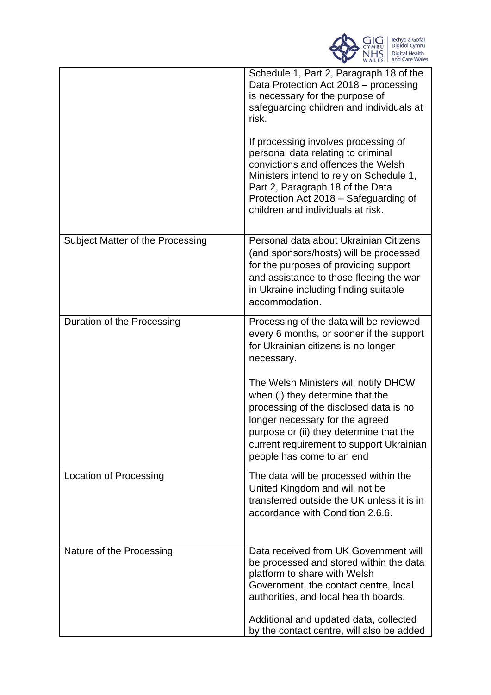

|                                  | Schedule 1, Part 2, Paragraph 18 of the<br>Data Protection Act 2018 – processing<br>is necessary for the purpose of<br>safeguarding children and individuals at<br>risk.<br>If processing involves processing of<br>personal data relating to criminal<br>convictions and offences the Welsh<br>Ministers intend to rely on Schedule 1,<br>Part 2, Paragraph 18 of the Data<br>Protection Act 2018 – Safeguarding of |
|----------------------------------|----------------------------------------------------------------------------------------------------------------------------------------------------------------------------------------------------------------------------------------------------------------------------------------------------------------------------------------------------------------------------------------------------------------------|
|                                  | children and individuals at risk.                                                                                                                                                                                                                                                                                                                                                                                    |
| Subject Matter of the Processing | Personal data about Ukrainian Citizens<br>(and sponsors/hosts) will be processed<br>for the purposes of providing support<br>and assistance to those fleeing the war<br>in Ukraine including finding suitable<br>accommodation.                                                                                                                                                                                      |
| Duration of the Processing       | Processing of the data will be reviewed<br>every 6 months, or sooner if the support<br>for Ukrainian citizens is no longer<br>necessary.                                                                                                                                                                                                                                                                             |
|                                  | The Welsh Ministers will notify DHCW<br>when (i) they determine that the<br>processing of the disclosed data is no<br>longer necessary for the agreed<br>purpose or (ii) they determine that the<br>current requirement to support Ukrainian<br>people has come to an end                                                                                                                                            |
| Location of Processing           | The data will be processed within the<br>United Kingdom and will not be<br>transferred outside the UK unless it is in<br>accordance with Condition 2.6.6.                                                                                                                                                                                                                                                            |
| Nature of the Processing         | Data received from UK Government will<br>be processed and stored within the data<br>platform to share with Welsh<br>Government, the contact centre, local<br>authorities, and local health boards.                                                                                                                                                                                                                   |
|                                  | Additional and updated data, collected<br>by the contact centre, will also be added                                                                                                                                                                                                                                                                                                                                  |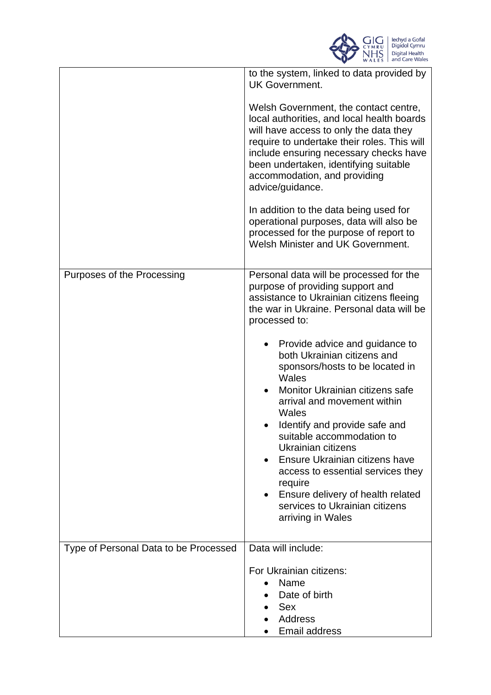

|                                       | to the system, linked to data provided by<br><b>UK Government.</b>                                                                                                                                                                                                                                                                                                                                                                                       |
|---------------------------------------|----------------------------------------------------------------------------------------------------------------------------------------------------------------------------------------------------------------------------------------------------------------------------------------------------------------------------------------------------------------------------------------------------------------------------------------------------------|
|                                       | Welsh Government, the contact centre,<br>local authorities, and local health boards<br>will have access to only the data they<br>require to undertake their roles. This will<br>include ensuring necessary checks have<br>been undertaken, identifying suitable<br>accommodation, and providing<br>advice/guidance.                                                                                                                                      |
|                                       | In addition to the data being used for<br>operational purposes, data will also be<br>processed for the purpose of report to<br>Welsh Minister and UK Government.                                                                                                                                                                                                                                                                                         |
| Purposes of the Processing            | Personal data will be processed for the<br>purpose of providing support and<br>assistance to Ukrainian citizens fleeing<br>the war in Ukraine. Personal data will be<br>processed to:                                                                                                                                                                                                                                                                    |
|                                       | Provide advice and guidance to<br>both Ukrainian citizens and<br>sponsors/hosts to be located in<br>Wales<br>Monitor Ukrainian citizens safe<br>arrival and movement within<br>Wales<br>Identify and provide safe and<br>suitable accommodation to<br>Ukrainian citizens<br>Ensure Ukrainian citizens have<br>access to essential services they<br>require<br>• Ensure delivery of health related<br>services to Ukrainian citizens<br>arriving in Wales |
| Type of Personal Data to be Processed | Data will include:<br>For Ukrainian citizens:<br>Name<br>Date of birth<br><b>Sex</b><br>Address<br>Email address                                                                                                                                                                                                                                                                                                                                         |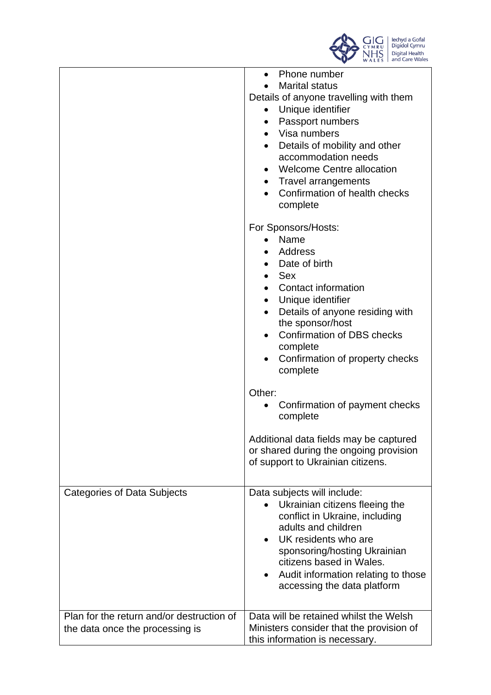

|                                                                              | Phone number<br>$\bullet$<br><b>Marital status</b><br>Details of anyone travelling with them<br>Unique identifier<br>$\bullet$<br>Passport numbers<br>$\bullet$<br>• Visa numbers<br>Details of mobility and other<br>accommodation needs<br><b>Welcome Centre allocation</b><br>$\bullet$<br><b>Travel arrangements</b><br>$\bullet$<br>Confirmation of health checks<br>complete |
|------------------------------------------------------------------------------|------------------------------------------------------------------------------------------------------------------------------------------------------------------------------------------------------------------------------------------------------------------------------------------------------------------------------------------------------------------------------------|
|                                                                              | For Sponsors/Hosts:<br>Name<br>Address<br>• Date of birth<br>Sex<br><b>Contact information</b><br>$\bullet$<br>Unique identifier<br>$\bullet$<br>Details of anyone residing with<br>the sponsor/host<br><b>Confirmation of DBS checks</b><br>complete<br>Confirmation of property checks<br>complete                                                                               |
|                                                                              | Other:<br>Confirmation of payment checks<br>complete                                                                                                                                                                                                                                                                                                                               |
|                                                                              | Additional data fields may be captured<br>or shared during the ongoing provision<br>of support to Ukrainian citizens.                                                                                                                                                                                                                                                              |
| Categories of Data Subjects                                                  | Data subjects will include:<br>Ukrainian citizens fleeing the<br>conflict in Ukraine, including<br>adults and children<br>UK residents who are<br>sponsoring/hosting Ukrainian<br>citizens based in Wales.<br>Audit information relating to those<br>accessing the data platform                                                                                                   |
| Plan for the return and/or destruction of<br>the data once the processing is | Data will be retained whilst the Welsh<br>Ministers consider that the provision of<br>this information is necessary.                                                                                                                                                                                                                                                               |